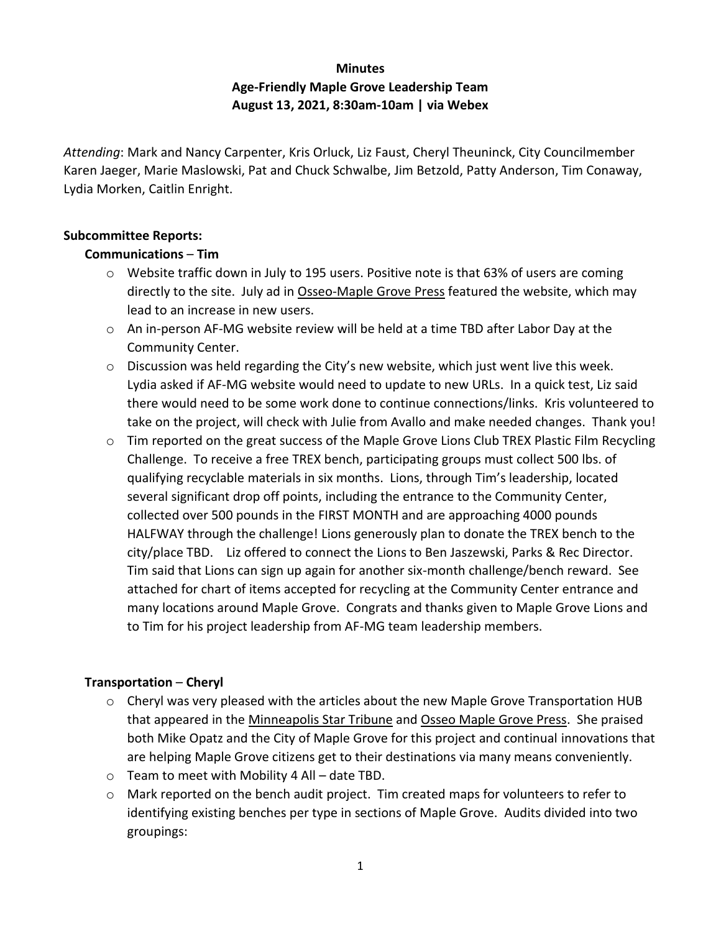# **Minutes Age-Friendly Maple Grove Leadership Team August 13, 2021, 8:30am-10am | via Webex**

*Attending*: Mark and Nancy Carpenter, Kris Orluck, Liz Faust, Cheryl Theuninck, City Councilmember Karen Jaeger, Marie Maslowski, Pat and Chuck Schwalbe, Jim Betzold, Patty Anderson, Tim Conaway, Lydia Morken, Caitlin Enright.

#### **Subcommittee Reports:**

#### **Communications** – **Tim**

- $\circ$  Website traffic down in July to 195 users. Positive note is that 63% of users are coming directly to the site. July ad in Osseo-Maple Grove Press featured the website, which may lead to an increase in new users.
- o An in-person AF-MG website review will be held at a time TBD after Labor Day at the Community Center.
- $\circ$  Discussion was held regarding the City's new website, which just went live this week. Lydia asked if AF-MG website would need to update to new URLs. In a quick test, Liz said there would need to be some work done to continue connections/links. Kris volunteered to take on the project, will check with Julie from Avallo and make needed changes. Thank you!
- o Tim reported on the great success of the Maple Grove Lions Club TREX Plastic Film Recycling Challenge. To receive a free TREX bench, participating groups must collect 500 lbs. of qualifying recyclable materials in six months. Lions, through Tim's leadership, located several significant drop off points, including the entrance to the Community Center, collected over 500 pounds in the FIRST MONTH and are approaching 4000 pounds HALFWAY through the challenge! Lions generously plan to donate the TREX bench to the city/place TBD. Liz offered to connect the Lions to Ben Jaszewski, Parks & Rec Director. Tim said that Lions can sign up again for another six-month challenge/bench reward. See attached for chart of items accepted for recycling at the Community Center entrance and many locations around Maple Grove. Congrats and thanks given to Maple Grove Lions and to Tim for his project leadership from AF-MG team leadership members.

#### **Transportation** – **Cheryl**

- $\circ$  Cheryl was very pleased with the articles about the new Maple Grove Transportation HUB that appeared in the Minneapolis Star Tribune and Osseo Maple Grove Press. She praised both Mike Opatz and the City of Maple Grove for this project and continual innovations that are helping Maple Grove citizens get to their destinations via many means conveniently.
- $\circ$  Team to meet with Mobility 4 All date TBD.
- $\circ$  Mark reported on the bench audit project. Tim created maps for volunteers to refer to identifying existing benches per type in sections of Maple Grove. Audits divided into two groupings: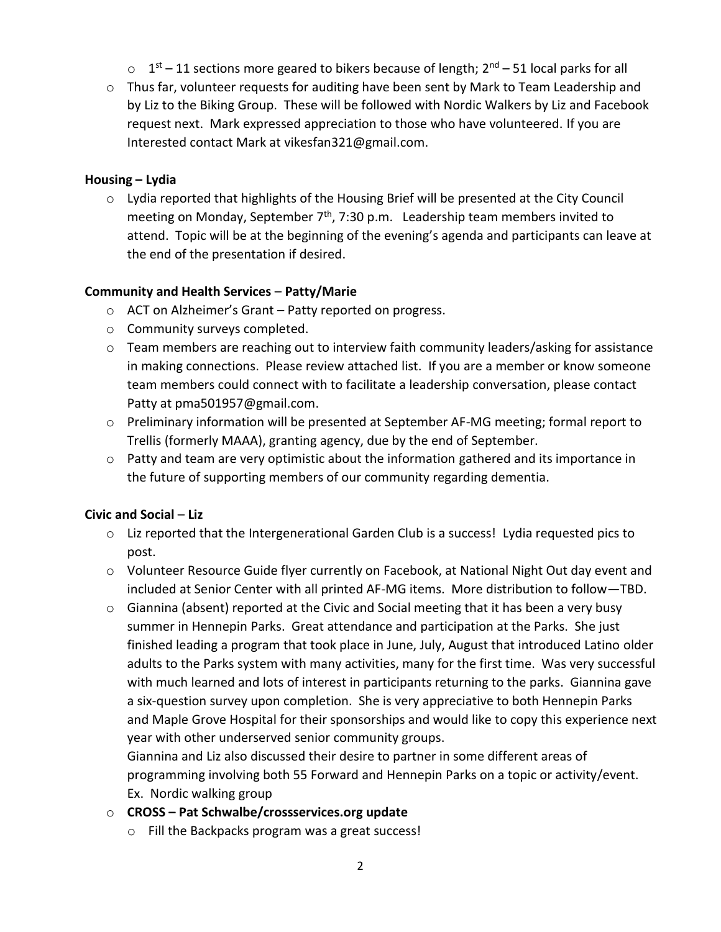- $\circ$  1<sup>st</sup> 11 sections more geared to bikers because of length; 2<sup>nd</sup> 51 local parks for all
- $\circ$  Thus far, volunteer requests for auditing have been sent by Mark to Team Leadership and by Liz to the Biking Group. These will be followed with Nordic Walkers by Liz and Facebook request next. Mark expressed appreciation to those who have volunteered. If you are Interested contact Mark at vikesfan321@gmail.com.

#### **Housing – Lydia**

o Lydia reported that highlights of the Housing Brief will be presented at the City Council meeting on Monday, September  $7<sup>th</sup>$ , 7:30 p.m. Leadership team members invited to attend. Topic will be at the beginning of the evening's agenda and participants can leave at the end of the presentation if desired.

#### **Community and Health Services** – **Patty/Marie**

- o ACT on Alzheimer's Grant Patty reported on progress.
- o Community surveys completed.
- $\circ$  Team members are reaching out to interview faith community leaders/asking for assistance in making connections. Please review attached list. If you are a member or know someone team members could connect with to facilitate a leadership conversation, please contact Patty at pma501957@gmail.com.
- o Preliminary information will be presented at September AF-MG meeting; formal report to Trellis (formerly MAAA), granting agency, due by the end of September.
- o Patty and team are very optimistic about the information gathered and its importance in the future of supporting members of our community regarding dementia.

# **Civic and Social** – **Liz**

- $\circ$  Liz reported that the Intergenerational Garden Club is a success! Lydia requested pics to post.
- o Volunteer Resource Guide flyer currently on Facebook, at National Night Out day event and included at Senior Center with all printed AF-MG items. More distribution to follow—TBD.
- o Giannina (absent) reported at the Civic and Social meeting that it has been a very busy summer in Hennepin Parks. Great attendance and participation at the Parks. She just finished leading a program that took place in June, July, August that introduced Latino older adults to the Parks system with many activities, many for the first time. Was very successful with much learned and lots of interest in participants returning to the parks. Giannina gave a six-question survey upon completion. She is very appreciative to both Hennepin Parks and Maple Grove Hospital for their sponsorships and would like to copy this experience next year with other underserved senior community groups.

Giannina and Liz also discussed their desire to partner in some different areas of programming involving both 55 Forward and Hennepin Parks on a topic or activity/event. Ex. Nordic walking group

# o **CROSS – Pat Schwalbe/crossservices.org update**

o Fill the Backpacks program was a great success!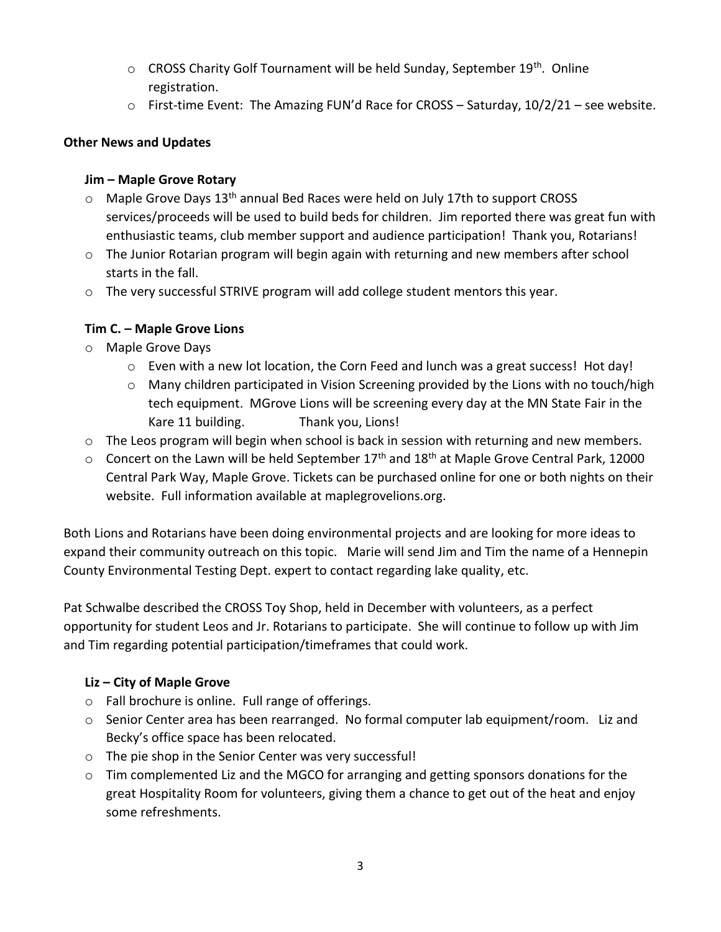- $\circ$  CROSS Charity Golf Tournament will be held Sunday, September 19<sup>th</sup>. Online registration.
- $\circ$  First-time Event: The Amazing FUN'd Race for CROSS Saturday, 10/2/21 see website.

# **Other News and Updates**

### **Jim – Maple Grove Rotary**

- $\circ$  Maple Grove Days 13<sup>th</sup> annual Bed Races were held on July 17th to support CROSS services/proceeds will be used to build beds for children. Jim reported there was great fun with enthusiastic teams, club member support and audience participation! Thank you, Rotarians!
- $\circ$  The Junior Rotarian program will begin again with returning and new members after school starts in the fall.
- o The very successful STRIVE program will add college student mentors this year.

# **Tim C. – Maple Grove Lions**

- o Maple Grove Days
	- $\circ$  Even with a new lot location, the Corn Feed and lunch was a great success! Hot day!
	- $\circ$  Many children participated in Vision Screening provided by the Lions with no touch/high tech equipment. MGrove Lions will be screening every day at the MN State Fair in the Kare 11 building. Thank you, Lions!
- o The Leos program will begin when school is back in session with returning and new members.
- $\circ$  Concert on the Lawn will be held September 17<sup>th</sup> and 18<sup>th</sup> at Maple Grove Central Park, 12000 Central Park Way, Maple Grove. Tickets can be purchased online for one or both nights on their website. Full information available at maplegrovelions.org.

Both Lions and Rotarians have been doing environmental projects and are looking for more ideas to expand their community outreach on this topic. Marie will send Jim and Tim the name of a Hennepin County Environmental Testing Dept. expert to contact regarding lake quality, etc.

Pat Schwalbe described the CROSS Toy Shop, held in December with volunteers, as a perfect opportunity for student Leos and Jr. Rotarians to participate. She will continue to follow up with Jim and Tim regarding potential participation/timeframes that could work.

# **Liz – City of Maple Grove**

- o Fall brochure is online. Full range of offerings.
- $\circ$  Senior Center area has been rearranged. No formal computer lab equipment/room. Liz and Becky's office space has been relocated.
- o The pie shop in the Senior Center was very successful!
- $\circ$  Tim complemented Liz and the MGCO for arranging and getting sponsors donations for the great Hospitality Room for volunteers, giving them a chance to get out of the heat and enjoy some refreshments.